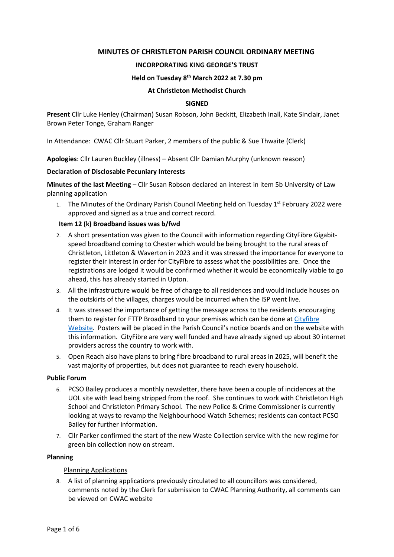## **MINUTES OF CHRISTLETON PARISH COUNCIL ORDINARY MEETING**

#### **INCORPORATING KING GEORGE'S TRUST**

#### **Held on Tuesday 8 th March 2022 at 7.30 pm**

#### **At Christleton Methodist Church**

#### **SIGNED**

**Present** Cllr Luke Henley (Chairman) Susan Robson, John Beckitt, Elizabeth Inall, Kate Sinclair, Janet Brown Peter Tonge, Graham Ranger

In Attendance: CWAC Cllr Stuart Parker, 2 members of the public & Sue Thwaite (Clerk)

**Apologies**: Cllr Lauren Buckley (illness) – Absent Cllr Damian Murphy (unknown reason)

#### **Declaration of Disclosable Pecuniary Interests**

**Minutes of the last Meeting** – Cllr Susan Robson declared an interest in item 5b University of Law planning application

1. The Minutes of the Ordinary Parish Council Meeting held on Tuesday 1<sup>st</sup> February 2022 were approved and signed as a true and correct record.

#### **Item 12 (k) Broadband issues was b/fwd**

- 2. A short presentation was given to the Council with information regarding CityFibre Gigabitspeed broadband coming to Chester which would be being brought to the rural areas of Christleton, Littleton & Waverton in 2023 and it was stressed the importance for everyone to register their interest in order for CityFibre to assess what the possibilities are. Once the registrations are lodged it would be confirmed whether it would be economically viable to go ahead, this has already started in Upton.
- 3. All the infrastructure would be free of charge to all residences and would include houses on the outskirts of the villages, charges would be incurred when the ISP went live.
- 4. It was stressed the importance of getting the message across to the residents encouraging them to register for FTTP Broadband to your premises which can be done at [Cityfibre](http://www.cityfibre/co./yourstreet)  [Website.](http://www.cityfibre/co./yourstreet) Posters will be placed in the Parish Council's notice boards and on the website with this information. CityFibre are very well funded and have already signed up about 30 internet providers across the country to work with.
- 5. Open Reach also have plans to bring fibre broadband to rural areas in 2025, will benefit the vast majority of properties, but does not guarantee to reach every household.

#### **Public Forum**

- 6. PCSO Bailey produces a monthly newsletter, there have been a couple of incidences at the UOL site with lead being stripped from the roof. She continues to work with Christleton High School and Christleton Primary School. The new Police & Crime Commissioner is currently looking at ways to revamp the Neighbourhood Watch Schemes; residents can contact PCSO Bailey for further information.
- 7. Cllr Parker confirmed the start of the new Waste Collection service with the new regime for green bin collection now on stream.

#### **Planning**

## Planning Applications

8. A list of planning applications previously circulated to all councillors was considered, comments noted by the Clerk for submission to CWAC Planning Authority, all comments can be viewed on CWAC website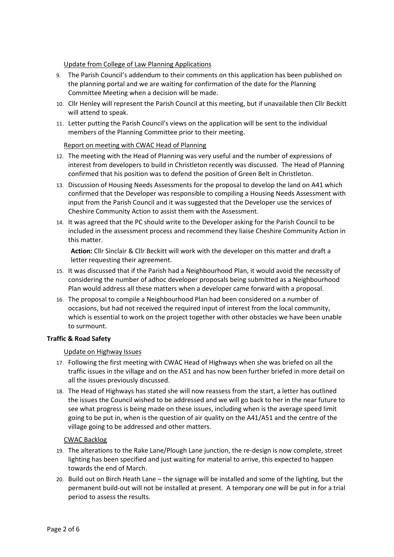Update from College of Law Planning Applications

- 9. The Parish Council's addendum to their comments on this application has been published on the planning portal and we are waiting for confirmation of the date for the Planning Committee Meeting when a decision will be made.
- 10. Cllr Henley will represent the Parish Council at this meeting, but if unavailable then Cllr Beckitt will attend to speak.
- 11. Letter putting the Parish Council's views on the application will be sent to the individual members of the Planning Committee prior to their meeting.

## Report on meeting with CWAC Head of Planning

- 12. The meeting with the Head of Planning was very useful and the number of expressions of interest from developers to build in Christleton recently was discussed. The Head of Planning confirmed that his position was to defend the position of Green Belt in Christleton.
- 13. Discussion of Housing Needs Assessments for the proposal to develop the land on A41 which confirmed that the Developer was responsible to compiling a Housing Needs Assessment with input from the Parish Council and it was suggested that the Developer use the services of Cheshire Community Action to assist them with the Assessment.
- 14. It was agreed that the PC should write to the Developer asking for the Parish Council to be included in the assessment process and recommend they liaise Cheshire Community Action in this matter.

**Action:** Cllr Sinclair & Cllr Beckitt will work with the developer on this matter and draft a letter requesting their agreement.

- 15. It was discussed that if the Parish had a Neighbourhood Plan, it would avoid the necessity of considering the number of adhoc developer proposals being submitted as a Neighbourhood Plan would address all these matters when a developer came forward with a proposal.
- 16. The proposal to compile a Neighbourhood Plan had been considered on a number of occasions, but had not received the required input of interest from the local community, which is essential to work on the project together with other obstacles we have been unable to surmount.

## **Traffic & Road Safety**

## Update on Highway Issues

- 17. Following the first meeting with CWAC Head of Highways when she was briefed on all the traffic issues in the village and on the A51 and has now been further briefed in more detail on all the issues previously discussed.
- 18. The Head of Highways has stated she will now reassess from the start, a letter has outlined the issues the Council wished to be addressed and we will go back to her in the near future to see what progress is being made on these issues, including when is the average speed limit going to be put in, when is the question of air quality on the A41/A51 and the centre of the village going to be addressed and other matters.

## CWAC Backlog

- 19. The alterations to the Rake Lane/Plough Lane junction, the re-design is now complete, street lighting has been specified and just waiting for material to arrive, this expected to happen towards the end of March.
- 20. Build out on Birch Heath Lane the signage will be installed and some of the lighting, but the permanent build-out will not be installed at present. A temporary one will be put in for a trial period to assess the results.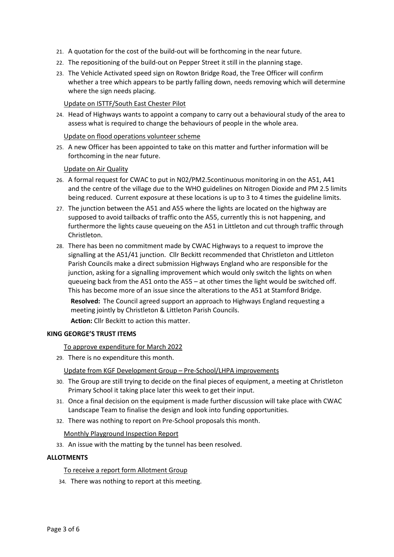- 21. A quotation for the cost of the build-out will be forthcoming in the near future.
- 22. The repositioning of the build-out on Pepper Street it still in the planning stage.
- 23. The Vehicle Activated speed sign on Rowton Bridge Road, the Tree Officer will confirm whether a tree which appears to be partly falling down, needs removing which will determine where the sign needs placing.

## Update on ISTTF/South East Chester Pilot

24. Head of Highways wants to appoint a company to carry out a behavioural study of the area to assess what is required to change the behaviours of people in the whole area.

## Update on flood operations volunteer scheme

25. A new Officer has been appointed to take on this matter and further information will be forthcoming in the near future.

## Update on Air Quality

- 26. A formal request for CWAC to put in N02/PM2.5continuous monitoring in on the A51, A41 and the centre of the village due to the WHO guidelines on Nitrogen Dioxide and PM 2.5 limits being reduced. Current exposure at these locations is up to 3 to 4 times the guideline limits.
- 27. The junction between the A51 and A55 where the lights are located on the highway are supposed to avoid tailbacks of traffic onto the A55, currently this is not happening, and furthermore the lights cause queueing on the A51 in Littleton and cut through traffic through Christleton.
- 28. There has been no commitment made by CWAC Highways to a request to improve the signalling at the A51/41 junction. Cllr Beckitt recommended that Christleton and Littleton Parish Councils make a direct submission Highways England who are responsible for the junction, asking for a signalling improvement which would only switch the lights on when queueing back from the A51 onto the A55 – at other times the light would be switched off. This has become more of an issue since the alterations to the A51 at Stamford Bridge.

**Resolved:** The Council agreed support an approach to Highways England requesting a meeting jointly by Christleton & Littleton Parish Councils.

**Action:** Cllr Beckitt to action this matter.

## **KING GEORGE'S TRUST ITEMS**

To approve expenditure for March 2022

29. There is no expenditure this month.

Update from KGF Development Group – Pre-School/LHPA improvements

- 30. The Group are still trying to decide on the final pieces of equipment, a meeting at Christleton Primary School it taking place later this week to get their input.
- 31. Once a final decision on the equipment is made further discussion will take place with CWAC Landscape Team to finalise the design and look into funding opportunities.
- 32. There was nothing to report on Pre-School proposals this month.

Monthly Playground Inspection Report

33. An issue with the matting by the tunnel has been resolved.

## **ALLOTMENTS**

## To receive a report form Allotment Group

34. There was nothing to report at this meeting.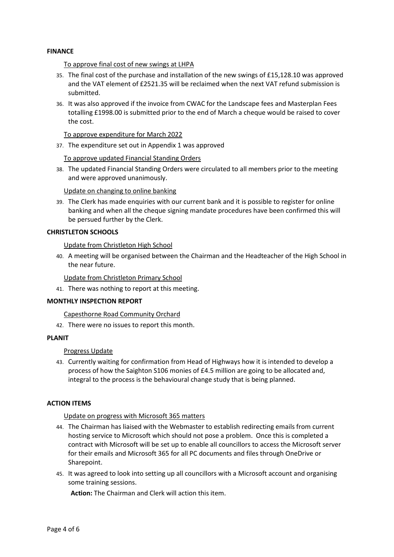## **FINANCE**

#### To approve final cost of new swings at LHPA

- 35. The final cost of the purchase and installation of the new swings of £15,128.10 was approved and the VAT element of £2521.35 will be reclaimed when the next VAT refund submission is submitted.
- 36. It was also approved if the invoice from CWAC for the Landscape fees and Masterplan Fees totalling £1998.00 is submitted prior to the end of March a cheque would be raised to cover the cost.

#### To approve expenditure for March 2022

37. The expenditure set out in Appendix 1 was approved

To approve updated Financial Standing Orders

38. The updated Financial Standing Orders were circulated to all members prior to the meeting and were approved unanimously.

Update on changing to online banking

39. The Clerk has made enquiries with our current bank and it is possible to register for online banking and when all the cheque signing mandate procedures have been confirmed this will be persued further by the Clerk.

#### **CHRISTLETON SCHOOLS**

Update from Christleton High School

40. A meeting will be organised between the Chairman and the Headteacher of the High School in the near future.

Update from Christleton Primary School

41. There was nothing to report at this meeting.

#### **MONTHLY INSPECTION REPORT**

Capesthorne Road Community Orchard

42. There were no issues to report this month.

#### **PLANIT**

## Progress Update

43. Currently waiting for confirmation from Head of Highways how it is intended to develop a process of how the Saighton S106 monies of £4.5 million are going to be allocated and, integral to the process is the behavioural change study that is being planned.

## **ACTION ITEMS**

Update on progress with Microsoft 365 matters

- 44. The Chairman has liaised with the Webmaster to establish redirecting emails from current hosting service to Microsoft which should not pose a problem. Once this is completed a contract with Microsoft will be set up to enable all councillors to access the Microsoft server for their emails and Microsoft 365 for all PC documents and files through OneDrive or Sharepoint.
- 45. It was agreed to look into setting up all councillors with a Microsoft account and organising some training sessions.

**Action:** The Chairman and Clerk will action this item.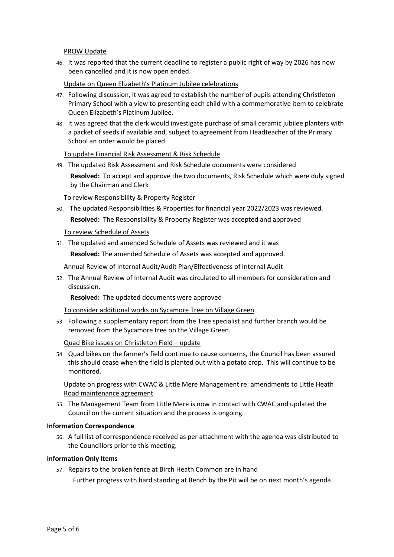PROW Update

46. It was reported that the current deadline to register a public right of way by 2026 has now been cancelled and it is now open ended.

Update on Queen Elizabeth's Platinum Jubilee celebrations

- 47. Following discussion, it was agreed to establish the number of pupils attending Christleton Primary School with a view to presenting each child with a commemorative item to celebrate Queen Elizabeth's Platinum Jubilee.
- 48. It was agreed that the clerk would investigate purchase of small ceramic jubilee planters with a packet of seeds if available and, subject to agreement from Headteacher of the Primary School an order would be placed.

#### To update Financial Risk Assessment & Risk Schedule

49. The updated Risk Assessment and Risk Schedule documents were considered **Resolved:** To accept and approve the two documents, Risk Schedule which were duly signed by the Chairman and Clerk

To review Responsibility & Property Register

50. The updated Responsibilities & Properties for financial year 2022/2023 was reviewed. **Resolved:** The Responsibility & Property Register was accepted and approved

To review Schedule of Assets

51. The updated and amended Schedule of Assets was reviewed and it was

**Resolved:** The amended Schedule of Assets was accepted and approved.

Annual Review of Internal Audit/Audit Plan/Effectiveness of Internal Audit

52. The Annual Review of Internal Audit was circulated to all members for consideration and discussion.

**Resolved:** The updated documents were approved

To consider additional works on Sycamore Tree on Village Green

53. Following a supplementary report from the Tree specialist and further branch would be removed from the Sycamore tree on the Village Green.

Quad Bike issues on Christleton Field – update

54. Quad bikes on the farmer's field continue to cause concerns, the Council has been assured this should cease when the field is planted out with a potato crop. This will continue to be monitored.

Update on progress with CWAC & Little Mere Management re: amendments to Little Heath Road maintenance agreement

55. The Management Team from Little Mere is now in contact with CWAC and updated the Council on the current situation and the process is ongoing.

#### **Information Correspondence**

56. A full list of correspondence received as per attachment with the agenda was distributed to the Councillors prior to this meeting.

#### **Information Only Items**

57. Repairs to the broken fence at Birch Heath Common are in hand

Further progress with hard standing at Bench by the Pit will be on next month's agenda.